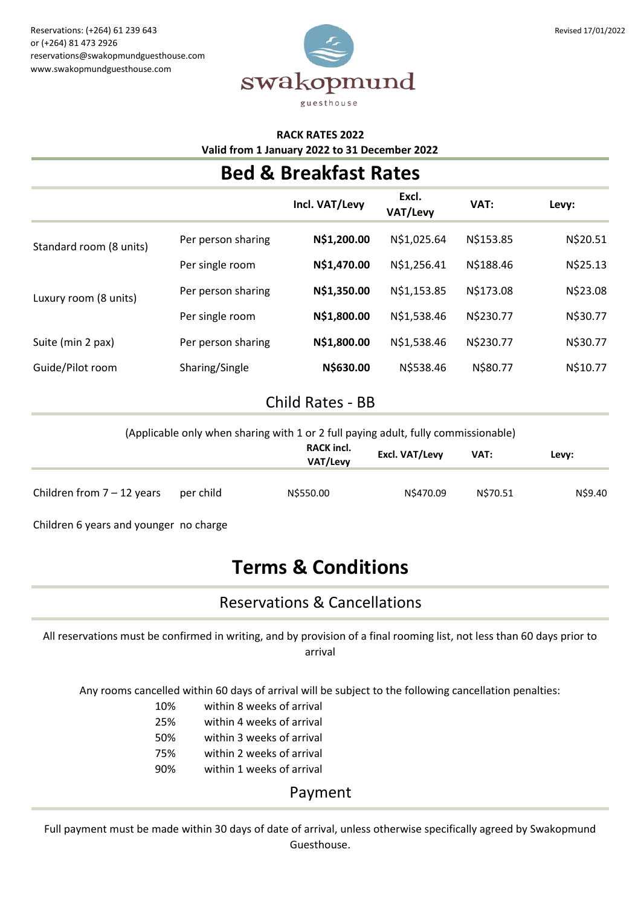

#### **RACK RATES 2022 Valid from 1 January 2022 to 31 December 2022**

## **Bed & Breakfast Rates**

|                         |                    | Incl. VAT/Levy | Excl.<br>VAT/Levy | VAT:      | Levy:    |
|-------------------------|--------------------|----------------|-------------------|-----------|----------|
| Standard room (8 units) | Per person sharing | N\$1,200.00    | N\$1,025.64       | N\$153.85 | N\$20.51 |
|                         | Per single room    | N\$1,470.00    | N\$1,256.41       | N\$188.46 | N\$25.13 |
| Luxury room (8 units)   | Per person sharing | N\$1,350.00    | N\$1,153.85       | N\$173.08 | N\$23.08 |
|                         | Per single room    | N\$1,800.00    | N\$1,538.46       | N\$230.77 | N\$30.77 |
| Suite (min 2 pax)       | Per person sharing | N\$1,800.00    | N\$1,538.46       | N\$230.77 | N\$30.77 |
| Guide/Pilot room        | Sharing/Single     | N\$630.00      | N\$538.46         | N\$80.77  | N\$10.77 |
|                         |                    |                |                   |           |          |

### Child Rates - BB

(Applicable only when sharing with 1 or 2 full paying adult, fully commissionable)

|                              |           | <b>RACK incl.</b><br>VAT/Levy | Excl. VAT/Levy | VAT:     | Levy:   |
|------------------------------|-----------|-------------------------------|----------------|----------|---------|
| Children from $7 - 12$ years | per child | N\$550.00                     | N\$470.09      | N\$70.51 | N\$9.40 |

Children 6 years and younger no charge

# **Terms & Conditions**

### Reservations & Cancellations

All reservations must be confirmed in writing, and by provision of a final rooming list, not less than 60 days prior to arrival

Any rooms cancelled within 60 days of arrival will be subject to the following cancellation penalties:

- 10% within 8 weeks of arrival
- 25% within 4 weeks of arrival
- 50% within 3 weeks of arrival
- 75% within 2 weeks of arrival
- 90% within 1 weeks of arrival

#### Payment

Full payment must be made within 30 days of date of arrival, unless otherwise specifically agreed by Swakopmund Guesthouse.